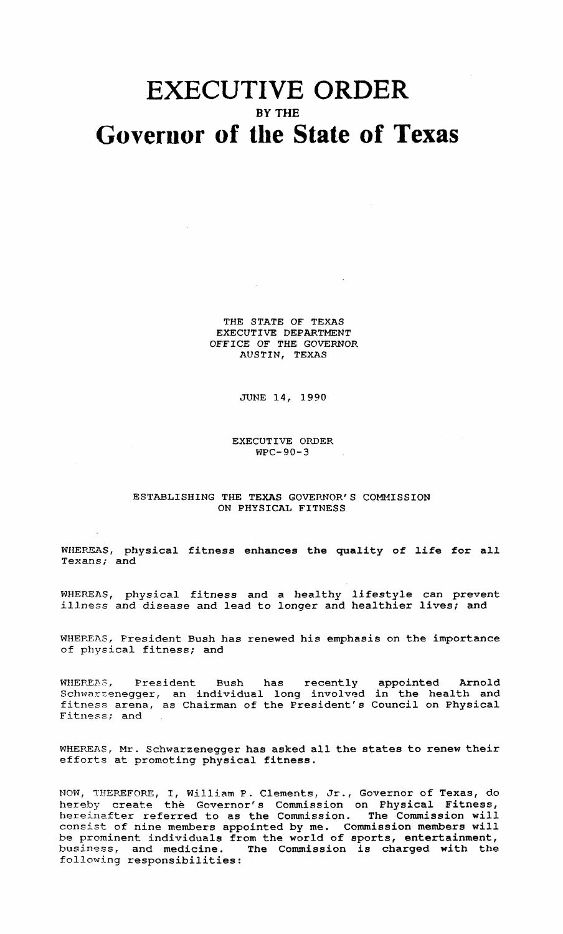## **EXECUTIVE ORDER** BY THE **Goverllor of tile State of Texas**

THE STATE OF TEXAS EXECUTIVE DEPARTMENT OFFICE OF THE GOVERNOR AUSTIN, TEXAS

JUNE 14, 1990

EXECUTIVE ORDER WPC-90-3

## ESTABLISHING THE TEXAS GOVERNOR'S COMMISSION ON PHYSICAL FITNESS

WHEREAS, physical fitness enhances the quality of life for all Texans; and

WHEREAS, physical fitness and <sup>a</sup> healthy lifestyle can prevent illness and disease and lead to longer and healthier lives; and

WHEREAS, President Bush has renewed his emphasis on the importance of physical fitness; and

WHEREAS, President Bush has recently appointed Arnold Schwarzenegger, an individual long involved in the health and fitness arena, as Chairman of the President's Council on Physical Fitness; and

WHEREAS, Mr. Schwarzenegger has asked all the states to renew their efforts at promoting physical fitness.

NOW, THEREFORE, I, William P. Clements, Jr., Governor of Texas, do hereby create the Governor's Commission on physical Fitness, hereinafter referred to as the Commission. The Commission will consist of nine members appointed by me. Commission members will be prominent individuals from the world of sports, entertainment, business, and medicine. The Commission is charged with the following responsibilities: